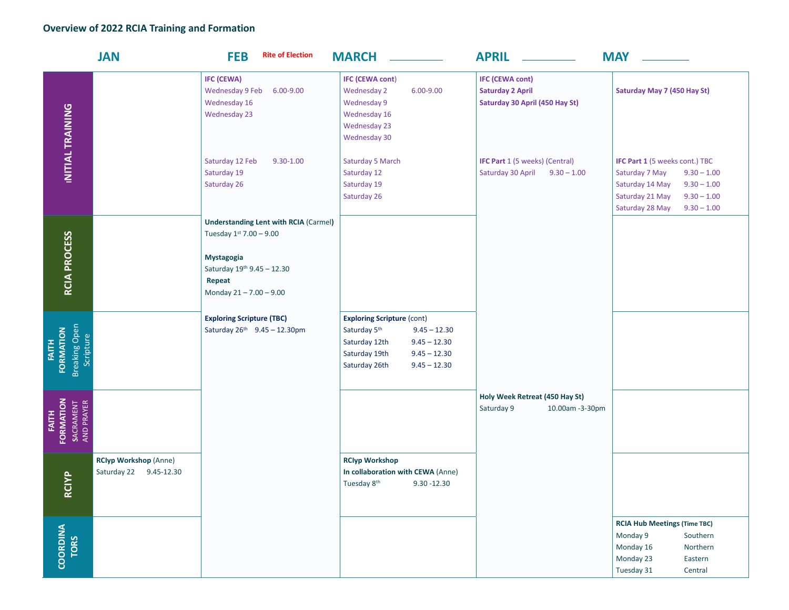## **Overview of 2022 RCIA Training and Formation**

|                                                         | <b>JAN</b>                                             | <b>Rite of Election</b><br><b>FEB</b>                                                    | <b>MARCH</b>                                                                                                                                                                             | <b>APRIL</b>                                                                        | <b>MAY</b>                                                                                                                                                                           |
|---------------------------------------------------------|--------------------------------------------------------|------------------------------------------------------------------------------------------|------------------------------------------------------------------------------------------------------------------------------------------------------------------------------------------|-------------------------------------------------------------------------------------|--------------------------------------------------------------------------------------------------------------------------------------------------------------------------------------|
| INITIAL TRAINING                                        |                                                        | <b>IFC (CEWA)</b><br>Wednesday 9 Feb<br>6.00-9.00<br>Wednesday 16<br><b>Wednesday 23</b> | <b>IFC (CEWA cont)</b><br>$6.00 - 9.00$<br><b>Wednesday 2</b><br>Wednesday 9<br>Wednesday 16<br><b>Wednesday 23</b><br>Wednesday 30                                                      | <b>IFC (CEWA cont)</b><br><b>Saturday 2 April</b><br>Saturday 30 April (450 Hay St) | Saturday May 7 (450 Hay St)                                                                                                                                                          |
|                                                         |                                                        | Saturday 12 Feb<br>$9.30 - 1.00$<br>Saturday 19<br>Saturday 26                           | Saturday 5 March<br>Saturday 12<br>Saturday 19<br>Saturday 26                                                                                                                            | <b>IFC Part 1 (5 weeks) (Central)</b><br>Saturday 30 April 9.30 - 1.00              | <b>IFC Part 1 (5 weeks cont.) TBC</b><br>Saturday 7 May<br>$9.30 - 1.00$<br>$9.30 - 1.00$<br>Saturday 14 May<br>Saturday 21 May<br>$9.30 - 1.00$<br>Saturday 28 May<br>$9.30 - 1.00$ |
|                                                         |                                                        | <b>Understanding Lent with RCIA (Carmel)</b><br>Tuesday 1st 7.00 - 9.00                  |                                                                                                                                                                                          |                                                                                     |                                                                                                                                                                                      |
| RCIA PROCESS                                            |                                                        | Mystagogia<br>Saturday 19th 9.45 - 12.30<br>Repeat<br>Monday 21-7.00-9.00                |                                                                                                                                                                                          |                                                                                     |                                                                                                                                                                                      |
| Breaking Open<br>Scripture<br>FORMATION<br><b>FAITH</b> |                                                        | <b>Exploring Scripture (TBC)</b><br>Saturday 26th 9.45 - 12.30pm                         | <b>Exploring Scripture (cont)</b><br>Saturday 5 <sup>th</sup><br>$9.45 - 12.30$<br>Saturday 12th<br>$9.45 - 12.30$<br>Saturday 19th<br>$9.45 - 12.30$<br>Saturday 26th<br>$9.45 - 12.30$ |                                                                                     |                                                                                                                                                                                      |
| FORMATION<br>SACRAMENT<br>AND PRAYER<br><b>FAITH</b>    |                                                        |                                                                                          |                                                                                                                                                                                          | Holy Week Retreat (450 Hay St)<br>Saturday 9<br>10.00am -3-30pm                     |                                                                                                                                                                                      |
| <b>RCIYP</b>                                            | <b>RCIyp Workshop (Anne)</b><br>Saturday 22 9.45-12.30 |                                                                                          | <b>RCIyp Workshop</b><br>In collaboration with CEWA (Anne)<br>Tuesday 8 <sup>th</sup><br>$9.30 - 12.30$                                                                                  |                                                                                     |                                                                                                                                                                                      |
| COORDINA<br><b>TORS</b>                                 |                                                        |                                                                                          |                                                                                                                                                                                          |                                                                                     | <b>RCIA Hub Meetings (Time TBC)</b><br>Monday 9<br>Southern<br>Monday 16<br>Northern<br>Monday 23<br>Eastern<br>Tuesday 31<br>Central                                                |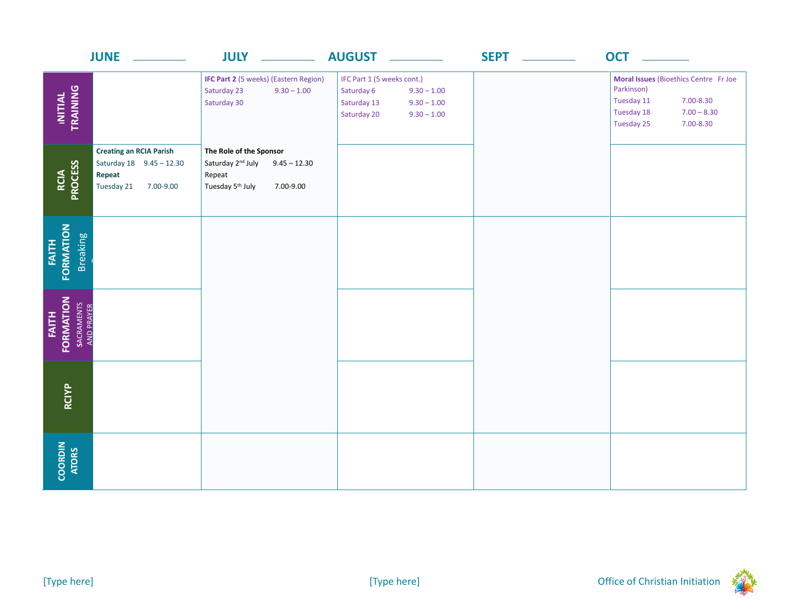|                                                       | <b>JUNE</b>                                                                                     | <b>JULY</b>                                                                                                                       | <b>AUGUST</b>                                                                                                             | <b>SEPT</b> ________ | <b>OCT</b>                                                                                                                               |
|-------------------------------------------------------|-------------------------------------------------------------------------------------------------|-----------------------------------------------------------------------------------------------------------------------------------|---------------------------------------------------------------------------------------------------------------------------|----------------------|------------------------------------------------------------------------------------------------------------------------------------------|
| INITIAL<br>TRAINING                                   |                                                                                                 | <b>IFC Part 2 (5 weeks) (Eastern Region)</b><br>Saturday 23<br>$9.30 - 1.00$<br>Saturday 30                                       | IFC Part 1 (5 weeks cont.)<br>Saturday 6<br>$9.30 - 1.00$<br>Saturday 13<br>$9.30 - 1.00$<br>Saturday 20<br>$9.30 - 1.00$ |                      | Moral Issues (Bioethics Centre Fr Joe<br>Parkinson)<br>Tuesday 11<br>7.00-8.30<br>Tuesday 18<br>$7.00 - 8.30$<br>Tuesday 25<br>7.00-8.30 |
| RCIA<br>PROCESS                                       | <b>Creating an RCIA Parish</b><br>Saturday 18 9.45 - 12.30<br>Repeat<br>Tuesday 21<br>7.00-9.00 | The Role of the Sponsor<br>Saturday 2 <sup>nd</sup> July<br>$9.45 - 12.30$<br>Repeat<br>Tuesday 5 <sup>th</sup> July<br>7.00-9.00 |                                                                                                                           |                      |                                                                                                                                          |
| FORMATION<br><b>Breaking</b><br><b>FAITH</b>          |                                                                                                 |                                                                                                                                   |                                                                                                                           |                      |                                                                                                                                          |
| FORMATION<br>SACRAMENTS<br>AND PRAYER<br><b>FAITH</b> |                                                                                                 |                                                                                                                                   |                                                                                                                           |                      |                                                                                                                                          |
| RCIYP                                                 |                                                                                                 |                                                                                                                                   |                                                                                                                           |                      |                                                                                                                                          |
| COORDIN<br>ATORS                                      |                                                                                                 |                                                                                                                                   |                                                                                                                           |                      |                                                                                                                                          |